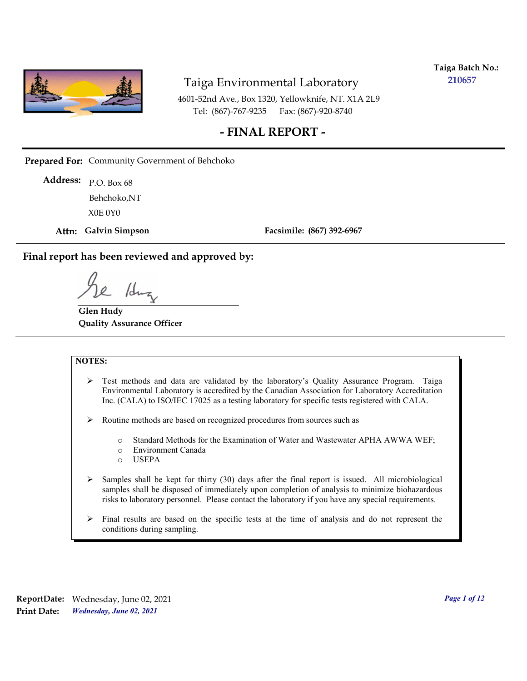

**Taiga Batch No.: 210657**

4601-52nd Ave., Box 1320, Yellowknife, NT. X1A 2L9 Tel: (867)-767-9235 Fax: (867)-920-8740

#### **- FINAL REPORT -**

**Prepared For:** Community Government of Behchoko

P.O. Box 68 **Address:** X0E 0Y0 Behchoko,NT

**Attn: Galvin Simpson**

**Facsimile: (867) 392-6967**

**Final report has been reviewed and approved by:**

1dr

**Glen Hudy Quality Assurance Officer**

#### **NOTES:**

- $\triangleright$  Test methods and data are validated by the laboratory's Quality Assurance Program. Taiga Environmental Laboratory is accredited by the Canadian Association for Laboratory Accreditation Inc. (CALA) to ISO/IEC 17025 as a testing laboratory for specific tests registered with CALA.
- Routine methods are based on recognized procedures from sources such as
	- o Standard Methods for the Examination of Water and Wastewater APHA AWWA WEF;
	- o Environment Canada
	- o USEPA
- $\triangleright$  Samples shall be kept for thirty (30) days after the final report is issued. All microbiological samples shall be disposed of immediately upon completion of analysis to minimize biohazardous risks to laboratory personnel. Please contact the laboratory if you have any special requirements.
- $\triangleright$  Final results are based on the specific tests at the time of analysis and do not represent the conditions during sampling.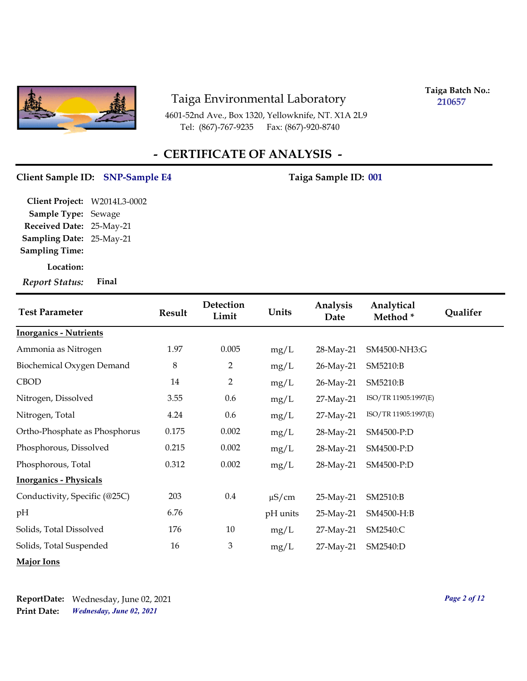

**Taiga Batch No.: 210657**

4601-52nd Ave., Box 1320, Yellowknife, NT. X1A 2L9 Tel: (867)-767-9235 Fax: (867)-920-8740

# **- CERTIFICATE OF ANALYSIS -**

#### Client Sample ID: SNP-Sample E4 Taiga Sample ID: 001

**Location: Sampling Date:** 25-May-21 **Received Date:** 25-May-21 **Client Project:** W2014L3-0002 **Sample Type:** Sewage **Sampling Time:** *Report Status:* **Final**

| <b>Test Parameter</b>         | <b>Result</b> | Detection<br>Limit | Units      | Analysis<br>Date | Analytical<br>Method* | Qualifer |
|-------------------------------|---------------|--------------------|------------|------------------|-----------------------|----------|
| <b>Inorganics - Nutrients</b> |               |                    |            |                  |                       |          |
| Ammonia as Nitrogen           | 1.97          | 0.005              | mg/L       | 28-May-21        | SM4500-NH3:G          |          |
| Biochemical Oxygen Demand     | $\,8\,$       | $\overline{2}$     | mg/L       | 26-May-21        | SM5210:B              |          |
| <b>CBOD</b>                   | 14            | $\overline{2}$     | mg/L       | 26-May-21        | SM5210:B              |          |
| Nitrogen, Dissolved           | 3.55          | 0.6                | mg/L       | 27-May-21        | ISO/TR 11905:1997(E)  |          |
| Nitrogen, Total               | 4.24          | 0.6                | mg/L       | 27-May-21        | ISO/TR 11905:1997(E)  |          |
| Ortho-Phosphate as Phosphorus | 0.175         | 0.002              | mg/L       | 28-May-21        | SM4500-P:D            |          |
| Phosphorous, Dissolved        | 0.215         | 0.002              | mg/L       | 28-May-21        | SM4500-P:D            |          |
| Phosphorous, Total            | 0.312         | 0.002              | mg/L       | 28-May-21        | SM4500-P:D            |          |
| <b>Inorganics - Physicals</b> |               |                    |            |                  |                       |          |
| Conductivity, Specific (@25C) | 203           | $0.4\,$            | $\mu$ S/cm | 25-May-21        | SM2510:B              |          |
| pН                            | 6.76          |                    | pH units   | 25-May-21        | SM4500-H:B            |          |
| Solids, Total Dissolved       | 176           | 10                 | mg/L       | 27-May-21        | SM2540:C              |          |
| Solids, Total Suspended       | 16            | 3                  | mg/L       | 27-May-21        | SM2540:D              |          |
| <b>Major Ions</b>             |               |                    |            |                  |                       |          |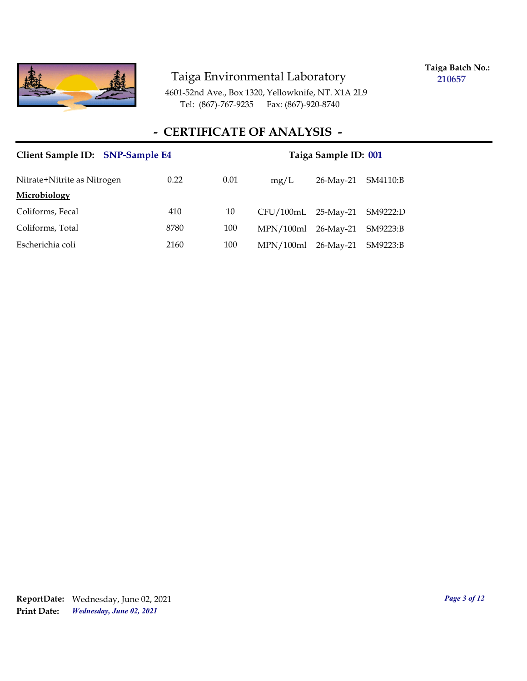

**Taiga Batch No.: 210657**

4601-52nd Ave., Box 1320, Yellowknife, NT. X1A 2L9 Tel: (867)-767-9235 Fax: (867)-920-8740

# **- CERTIFICATE OF ANALYSIS -**

| Client Sample ID: SNP-Sample E4 |      | Taiga Sample ID: 001 |                              |           |          |
|---------------------------------|------|----------------------|------------------------------|-----------|----------|
| Nitrate+Nitrite as Nitrogen     | 0.22 | 0.01                 | mg/L                         | 26-May-21 | SM4110:B |
| Microbiology                    |      |                      |                              |           |          |
| Coliforms, Fecal                | 410  | 10                   | CFU/100mL 25-May-21 SM9222:D |           |          |
| Coliforms, Total                | 8780 | 100                  | $MPN/100ml$ 26-May-21        |           | SM9223:B |
| Escherichia coli                | 2160 | 100                  | MPN/100ml                    | 26-May-21 | SM9223:B |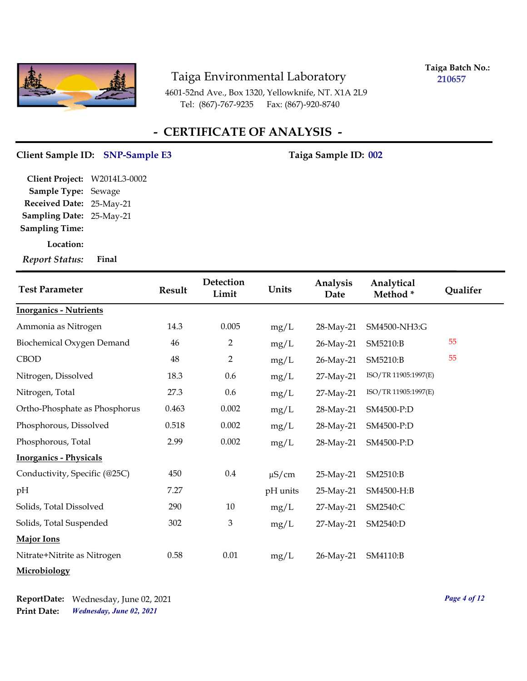

**Taiga Batch No.: 210657**

4601-52nd Ave., Box 1320, Yellowknife, NT. X1A 2L9 Tel: (867)-767-9235 Fax: (867)-920-8740

## **- CERTIFICATE OF ANALYSIS -**

#### Client Sample ID: SNP-Sample E3 Taiga Sample ID: 002

**Sampling Date:** 25-May-21 **Received Date:** 25-May-21 **Client Project:** W2014L3-0002 **Sample Type:** Sewage **Sampling Time:**

**Location:**

*Report Status:* **Final**

| <b>Test Parameter</b>         | Result | Detection<br>Limit        | Units      | Analysis<br>Date | Analytical<br>Method* | Qualifer |
|-------------------------------|--------|---------------------------|------------|------------------|-----------------------|----------|
| <b>Inorganics - Nutrients</b> |        |                           |            |                  |                       |          |
| Ammonia as Nitrogen           | 14.3   | 0.005                     | mg/L       | 28-May-21        | SM4500-NH3:G          |          |
| Biochemical Oxygen Demand     | 46     | $\overline{2}$            | mg/L       | 26-May-21        | SM5210:B              | 55       |
| <b>CBOD</b>                   | 48     | $\overline{2}$            | mg/L       | 26-May-21        | SM5210:B              | 55       |
| Nitrogen, Dissolved           | 18.3   | 0.6                       | mg/L       | 27-May-21        | ISO/TR 11905:1997(E)  |          |
| Nitrogen, Total               | 27.3   | 0.6                       | mg/L       | 27-May-21        | ISO/TR 11905:1997(E)  |          |
| Ortho-Phosphate as Phosphorus | 0.463  | 0.002                     | mg/L       | 28-May-21        | SM4500-P:D            |          |
| Phosphorous, Dissolved        | 0.518  | 0.002                     | mg/L       | 28-May-21        | SM4500-P:D            |          |
| Phosphorous, Total            | 2.99   | 0.002                     | mg/L       | 28-May-21        | SM4500-P:D            |          |
| <b>Inorganics - Physicals</b> |        |                           |            |                  |                       |          |
| Conductivity, Specific (@25C) | 450    | $0.4\,$                   | $\mu$ S/cm | 25-May-21        | SM2510:B              |          |
| pН                            | 7.27   |                           | pH units   | 25-May-21        | SM4500-H:B            |          |
| Solids, Total Dissolved       | 290    | 10                        | mg/L       | 27-May-21        | SM2540:C              |          |
| Solids, Total Suspended       | 302    | $\boldsymbol{\mathrm{3}}$ | mg/L       | 27-May-21        | SM2540:D              |          |
| Major Ions                    |        |                           |            |                  |                       |          |
| Nitrate+Nitrite as Nitrogen   | 0.58   | 0.01                      | mg/L       | 26-May-21        | SM4110:B              |          |
| Microbiology                  |        |                           |            |                  |                       |          |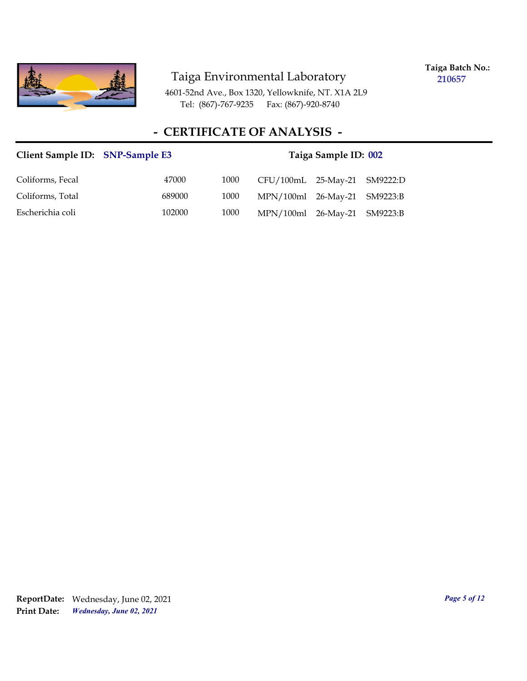

**Taiga Batch No.: 210657**

4601-52nd Ave., Box 1320, Yellowknife, NT. X1A 2L9 Tel: (867)-767-9235 Fax: (867)-920-8740

# **- CERTIFICATE OF ANALYSIS -**

| Client Sample ID: SNP-Sample E3 |        |      |                              | Taiga Sample ID: 002 |  |
|---------------------------------|--------|------|------------------------------|----------------------|--|
| Coliforms, Fecal                | 47000  | 1000 | CFU/100mL 25-May-21 SM9222:D |                      |  |
| Coliforms, Total                | 689000 | 1000 | MPN/100ml 26-May-21 SM9223:B |                      |  |
| Escherichia coli                | 102000 | 1000 | MPN/100ml 26-May-21 SM9223:B |                      |  |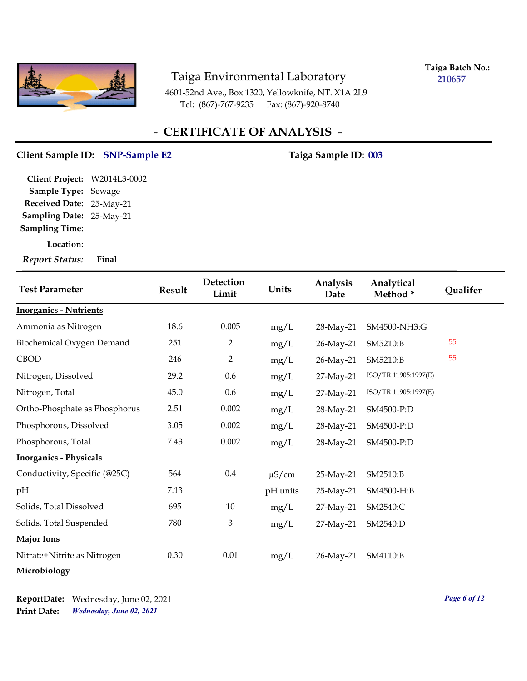

**Taiga Batch No.: 210657**

4601-52nd Ave., Box 1320, Yellowknife, NT. X1A 2L9 Tel: (867)-767-9235 Fax: (867)-920-8740

## **- CERTIFICATE OF ANALYSIS -**

#### Client Sample ID: SNP-Sample E2 Taiga Sample ID: 003

**Sampling Date:** 25-May-21 **Received Date:** 25-May-21 **Client Project:** W2014L3-0002 **Sample Type:** Sewage **Sampling Time:**

**Location:**

*Report Status:* **Final**

| <b>Test Parameter</b>         | Result | Detection<br>Limit | Units      | Analysis<br>Date | Analytical<br>Method* | Qualifer |
|-------------------------------|--------|--------------------|------------|------------------|-----------------------|----------|
| <b>Inorganics - Nutrients</b> |        |                    |            |                  |                       |          |
| Ammonia as Nitrogen           | 18.6   | 0.005              | mg/L       | 28-May-21        | SM4500-NH3:G          |          |
| Biochemical Oxygen Demand     | 251    | $\overline{2}$     | mg/L       | 26-May-21        | SM5210:B              | 55       |
| <b>CBOD</b>                   | 246    | $\overline{2}$     | mg/L       | 26-May-21        | SM5210:B              | 55       |
| Nitrogen, Dissolved           | 29.2   | 0.6                | mg/L       | 27-May-21        | ISO/TR 11905:1997(E)  |          |
| Nitrogen, Total               | 45.0   | 0.6                | mg/L       | 27-May-21        | ISO/TR 11905:1997(E)  |          |
| Ortho-Phosphate as Phosphorus | 2.51   | 0.002              | mg/L       | 28-May-21        | SM4500-P:D            |          |
| Phosphorous, Dissolved        | 3.05   | 0.002              | mg/L       | 28-May-21        | SM4500-P:D            |          |
| Phosphorous, Total            | 7.43   | 0.002              | mg/L       | 28-May-21        | SM4500-P:D            |          |
| <b>Inorganics - Physicals</b> |        |                    |            |                  |                       |          |
| Conductivity, Specific (@25C) | 564    | $0.4\,$            | $\mu$ S/cm | 25-May-21        | SM2510:B              |          |
| pH                            | 7.13   |                    | pH units   | 25-May-21        | SM4500-H:B            |          |
| Solids, Total Dissolved       | 695    | 10                 | mg/L       | 27-May-21        | SM2540:C              |          |
| Solids, Total Suspended       | 780    | 3                  | mg/L       | 27-May-21        | SM2540:D              |          |
| <b>Major Ions</b>             |        |                    |            |                  |                       |          |
| Nitrate+Nitrite as Nitrogen   | 0.30   | $0.01\,$           | mg/L       | 26-May-21        | SM4110:B              |          |
| Microbiology                  |        |                    |            |                  |                       |          |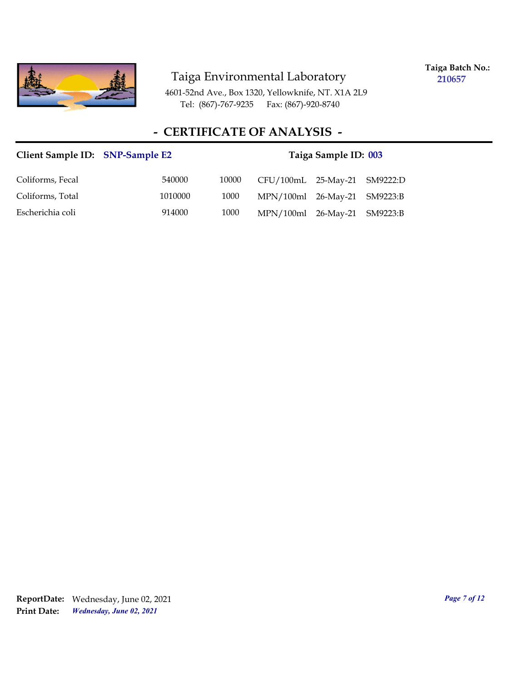

**Taiga Batch No.: 210657**

4601-52nd Ave., Box 1320, Yellowknife, NT. X1A 2L9 Tel: (867)-767-9235 Fax: (867)-920-8740

## **- CERTIFICATE OF ANALYSIS -**

# Client Sample ID: SNP-Sample E2 Taiga Sample ID: 003 Coliforms, Fecal 540000 10000 CFU/100mL 25-May-21 SM9222:D Coliforms, Total 1010000 1000 MPN/100ml 26-May-21 SM9223:B Escherichia coli 914000 1000 MPN/100ml 26-May-21 SM9223:B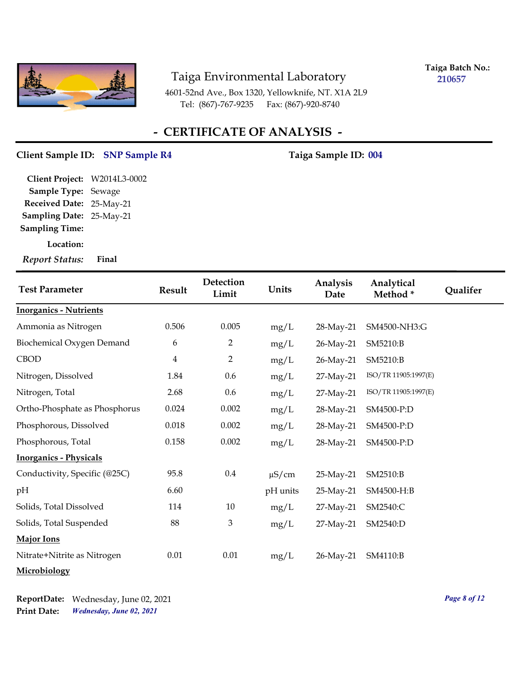

**Taiga Batch No.: 210657**

4601-52nd Ave., Box 1320, Yellowknife, NT. X1A 2L9 Tel: (867)-767-9235 Fax: (867)-920-8740

## **- CERTIFICATE OF ANALYSIS -**

#### Client Sample ID: SNP Sample R4 Taiga Sample ID: 004

**Sampling Date:** 25-May-21 **Received Date:** 25-May-21 **Client Project:** W2014L3-0002 **Sample Type:** Sewage **Sampling Time:**

**Location:**

*Report Status:* **Final**

| <b>Test Parameter</b>         | <b>Result</b>  | Detection<br>Limit | Units      | Analysis<br>Date | Analytical<br>Method* | Qualifer |
|-------------------------------|----------------|--------------------|------------|------------------|-----------------------|----------|
| <b>Inorganics - Nutrients</b> |                |                    |            |                  |                       |          |
| Ammonia as Nitrogen           | 0.506          | 0.005              | mg/L       | 28-May-21        | SM4500-NH3:G          |          |
| Biochemical Oxygen Demand     | 6              | $\overline{2}$     | mg/L       | 26-May-21        | SM5210:B              |          |
| <b>CBOD</b>                   | $\overline{4}$ | $\overline{2}$     | mg/L       | 26-May-21        | SM5210:B              |          |
| Nitrogen, Dissolved           | 1.84           | 0.6                | mg/L       | 27-May-21        | ISO/TR 11905:1997(E)  |          |
| Nitrogen, Total               | 2.68           | 0.6                | mg/L       | 27-May-21        | ISO/TR 11905:1997(E)  |          |
| Ortho-Phosphate as Phosphorus | 0.024          | 0.002              | mg/L       | 28-May-21        | SM4500-P:D            |          |
| Phosphorous, Dissolved        | $0.018\,$      | 0.002              | mg/L       | 28-May-21        | SM4500-P:D            |          |
| Phosphorous, Total            | 0.158          | 0.002              | mg/L       | 28-May-21        | SM4500-P:D            |          |
| <b>Inorganics - Physicals</b> |                |                    |            |                  |                       |          |
| Conductivity, Specific (@25C) | 95.8           | $0.4\,$            | $\mu$ S/cm | 25-May-21        | SM2510:B              |          |
| pН                            | 6.60           |                    | pH units   | 25-May-21        | SM4500-H:B            |          |
| Solids, Total Dissolved       | 114            | 10                 | mg/L       | 27-May-21        | SM2540:C              |          |
| Solids, Total Suspended       | 88             | 3                  | mg/L       | 27-May-21        | SM2540:D              |          |
| Major Ions                    |                |                    |            |                  |                       |          |
| Nitrate+Nitrite as Nitrogen   | $0.01\,$       | 0.01               | mg/L       | 26-May-21        | SM4110:B              |          |
| Microbiology                  |                |                    |            |                  |                       |          |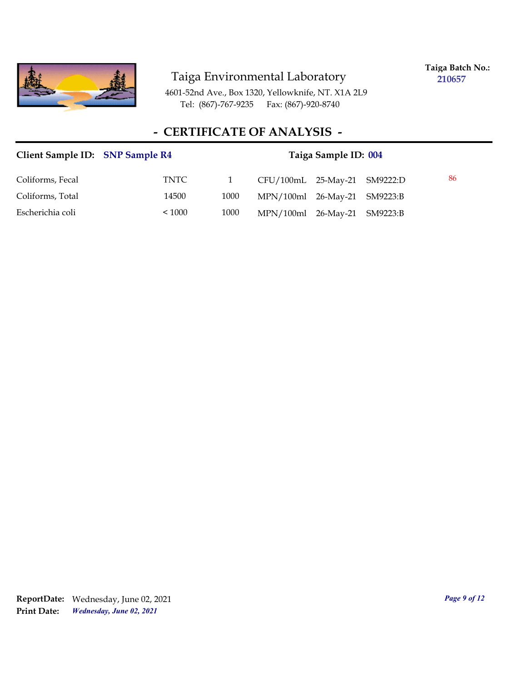

**Taiga Batch No.: 210657**

4601-52nd Ave., Box 1320, Yellowknife, NT. X1A 2L9 Tel: (867)-767-9235 Fax: (867)-920-8740

# **- CERTIFICATE OF ANALYSIS -**

| Client Sample ID: SNP Sample R4 |        | Taiga Sample ID: 004 |                              |  |  |    |
|---------------------------------|--------|----------------------|------------------------------|--|--|----|
| Coliforms, Fecal                | TNTC   |                      | CFU/100mL 25-May-21 SM9222:D |  |  | 86 |
| Coliforms, Total                | 14500  | 1000                 | MPN/100ml 26-May-21 SM9223:B |  |  |    |
| Escherichia coli                | < 1000 | 1000                 | MPN/100ml 26-May-21 SM9223:B |  |  |    |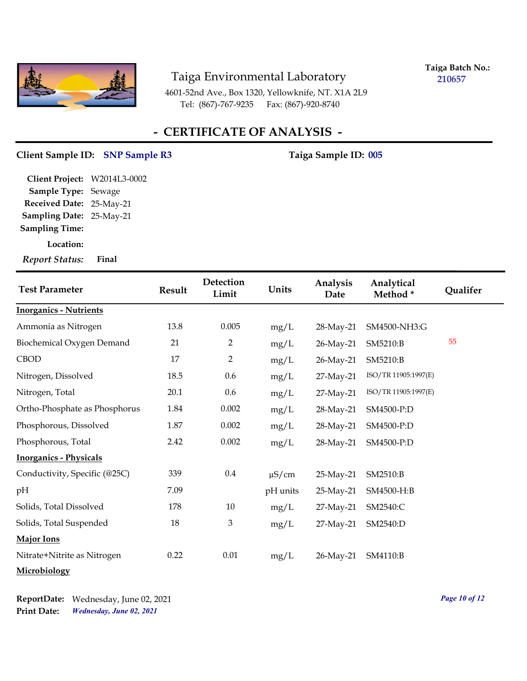

**Taiga Batch No.: 210657**

4601-52nd Ave., Box 1320, Yellowknife, NT. X1A 2L9 Tel: (867)-767-9235 Fax: (867)-920-8740

## **- CERTIFICATE OF ANALYSIS -**

#### Client Sample ID: SNP Sample R3 Taiga Sample ID: 005

**Sampling Date:** 25-May-21 **Received Date:** 25-May-21 **Client Project:** W2014L3-0002 **Sample Type:** Sewage **Sampling Time:**

**Location:**

*Report Status:* **Final**

| <b>Test Parameter</b>         | Result | Detection<br>Limit | Units      | Analysis<br>Date | Analytical<br>Method* | Qualifer |
|-------------------------------|--------|--------------------|------------|------------------|-----------------------|----------|
| <b>Inorganics - Nutrients</b> |        |                    |            |                  |                       |          |
| Ammonia as Nitrogen           | 13.8   | 0.005              | mg/L       | 28-May-21        | SM4500-NH3:G          |          |
| Biochemical Oxygen Demand     | 21     | $\overline{2}$     | mg/L       | 26-May-21        | SM5210:B              | 55       |
| <b>CBOD</b>                   | 17     | $\overline{2}$     | mg/L       | 26-May-21        | SM5210:B              |          |
| Nitrogen, Dissolved           | 18.5   | 0.6                | mg/L       | 27-May-21        | ISO/TR 11905:1997(E)  |          |
| Nitrogen, Total               | 20.1   | 0.6                | mg/L       | 27-May-21        | ISO/TR 11905:1997(E)  |          |
| Ortho-Phosphate as Phosphorus | 1.84   | 0.002              | mg/L       | 28-May-21        | SM4500-P:D            |          |
| Phosphorous, Dissolved        | 1.87   | 0.002              | mg/L       | 28-May-21        | SM4500-P:D            |          |
| Phosphorous, Total            | 2.42   | 0.002              | mg/L       | 28-May-21        | SM4500-P:D            |          |
| <b>Inorganics - Physicals</b> |        |                    |            |                  |                       |          |
| Conductivity, Specific (@25C) | 339    | $0.4\,$            | $\mu$ S/cm | 25-May-21        | SM2510:B              |          |
| pН                            | 7.09   |                    | pH units   | 25-May-21        | SM4500-H:B            |          |
| Solids, Total Dissolved       | 178    | 10                 | mg/L       | 27-May-21        | SM2540:C              |          |
| Solids, Total Suspended       | 18     | 3                  | mg/L       | 27-May-21        | SM2540:D              |          |
| Major Ions                    |        |                    |            |                  |                       |          |
| Nitrate+Nitrite as Nitrogen   | 0.22   | $0.01\,$           | mg/L       | 26-May-21        | SM4110:B              |          |
| Microbiology                  |        |                    |            |                  |                       |          |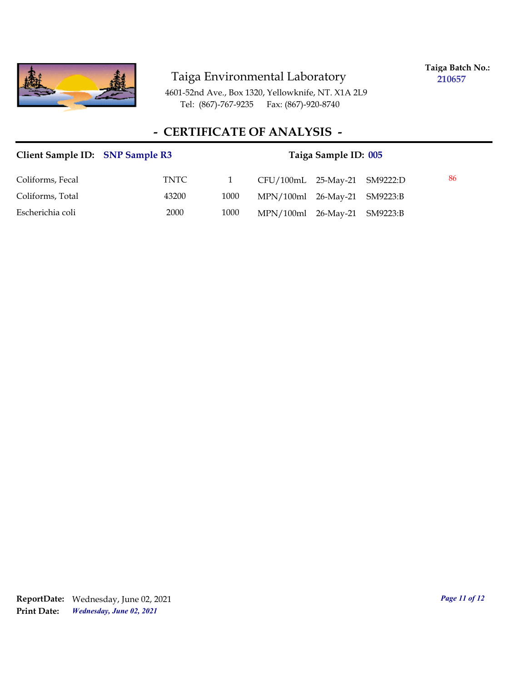

**Taiga Batch No.: 210657**

4601-52nd Ave., Box 1320, Yellowknife, NT. X1A 2L9 Tel: (867)-767-9235 Fax: (867)-920-8740

# **- CERTIFICATE OF ANALYSIS -**

| Client Sample ID: SNP Sample R3 |       | Taiga Sample ID: 005 |                              |  |  |    |  |
|---------------------------------|-------|----------------------|------------------------------|--|--|----|--|
| Coliforms, Fecal                | TNTC  |                      | CFU/100mL 25-May-21 SM9222:D |  |  | 86 |  |
| Coliforms, Total                | 43200 | 1000                 | MPN/100ml 26-May-21 SM9223:B |  |  |    |  |
| Escherichia coli                | 2000  | 1000                 | MPN/100ml 26-May-21 SM9223:B |  |  |    |  |